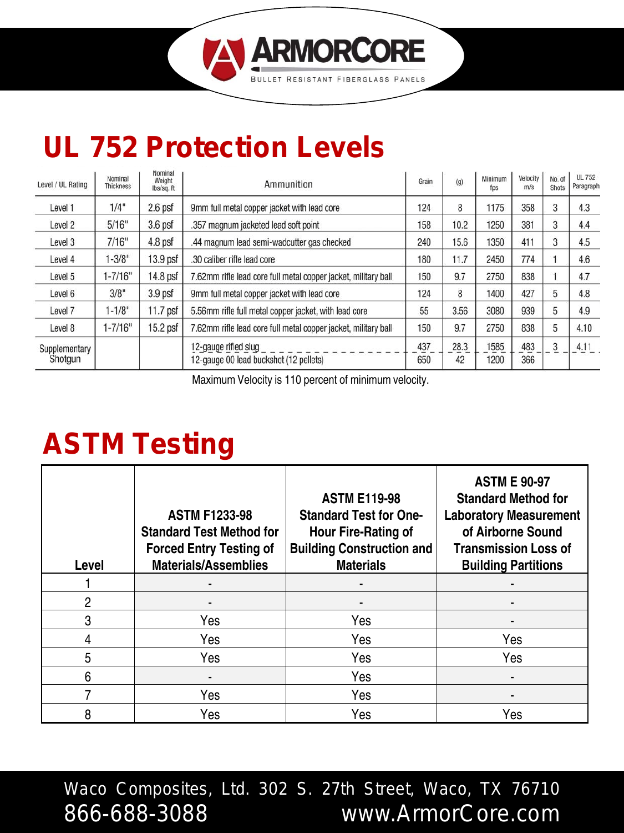

| Level / UL Rating        | Nominal<br>Thickness | Nominal<br>Weight<br>lbs/sq.ft | Ammunition                                                     |            | (q)        | Minimum<br>fps | Velocity<br>m/s | No. of<br><b>Shots</b> | <b>UL 752</b><br>Paragraph |
|--------------------------|----------------------|--------------------------------|----------------------------------------------------------------|------------|------------|----------------|-----------------|------------------------|----------------------------|
| Level 1                  | 1/4"                 | $2.6$ psf                      | 9mm full metal copper jacket with lead core                    |            | 8          | 1175           | 358             | 3                      | 4.3                        |
| Level 2                  | 5/16"                | 3.6 <sub>psf</sub>             | .357 magnum jacketed lead soft point                           |            | 10.2       | 1250           | 381             | 3                      | 4.4                        |
| Level 3                  | 7/16"                | 4.8 psf                        | .44 magnum lead semi-wadcutter gas checked                     |            | 15.6       | 1350           | 411             | 3                      | 4.5                        |
| Level 4                  | $1 - 3/8"$           | 13.9 <sub>psf</sub>            | .30 caliber rifle lead core                                    | 180        | 11.7       | 2450           | 774             |                        | 4.6                        |
| Level 5                  | $1 - 7/16"$          | 14.8 psf                       | 7.62mm rifle lead core full metal copper jacket, military ball | 150        | 9.7        | 2750           | 838             |                        | 4.7                        |
| Level 6                  | 3/8"                 | 3.9 <sub>psf</sub>             | 9mm full metal copper jacket with lead core                    |            | 8          | 1400           | 427             | 5                      | 4.8                        |
| Level 7                  | $1 - 1/8"$           | 11.7 psf                       | 5.56mm rifle full metal copper jacket, with lead core          |            | 3.56       | 3080           | 939             |                        | 4.9                        |
| Level 8                  | $1 - 7/16"$          | 15.2 psf                       | 7.62mm rifle lead core full metal copper jacket, military ball | 150        | 9.7        | 2750           | 838             | 5                      | 4.10                       |
| Supplementary<br>Shotgun |                      |                                | 12-gauge rifled slug<br>12-gauge 00 lead buckshot (12 pellets) | 437<br>650 | 28.3<br>42 | 1585<br>1200   | 483<br>366      | 3                      | 4.11                       |

**ARMORCORE** 

**FIRERGIASS** 

Maximum Velocity is 110 percent of minimum velocity.

# **ASTM Testing**

| Level | <b>ASTM F1233-98</b><br><b>Standard Test Method for</b><br><b>Forced Entry Testing of</b><br><b>Materials/Assemblies</b> | <b>ASTM E119-98</b><br><b>Standard Test for One-</b><br>Hour Fire-Rating of<br><b>Building Construction and</b><br><b>Materials</b> | <b>ASTM E 90-97</b><br><b>Standard Method for</b><br><b>Laboratory Measurement</b><br>of Airborne Sound<br><b>Transmission Loss of</b><br><b>Building Partitions</b> |
|-------|--------------------------------------------------------------------------------------------------------------------------|-------------------------------------------------------------------------------------------------------------------------------------|----------------------------------------------------------------------------------------------------------------------------------------------------------------------|
|       |                                                                                                                          |                                                                                                                                     |                                                                                                                                                                      |
| 2     |                                                                                                                          |                                                                                                                                     |                                                                                                                                                                      |
| 3     | Yes                                                                                                                      | Yes                                                                                                                                 |                                                                                                                                                                      |
| 4     | Yes                                                                                                                      | Yes                                                                                                                                 | Yes                                                                                                                                                                  |
| 5     | Yes                                                                                                                      | Yes                                                                                                                                 | Yes                                                                                                                                                                  |
| 6     |                                                                                                                          | Yes                                                                                                                                 |                                                                                                                                                                      |
|       | Yes                                                                                                                      | Yes                                                                                                                                 |                                                                                                                                                                      |
| 8     | Yes                                                                                                                      | Yes                                                                                                                                 | Yes                                                                                                                                                                  |

Waco Composites, Ltd. 302 S. 27th Street, Waco, TX 76710 866-688-3088 www.ArmorCore.com